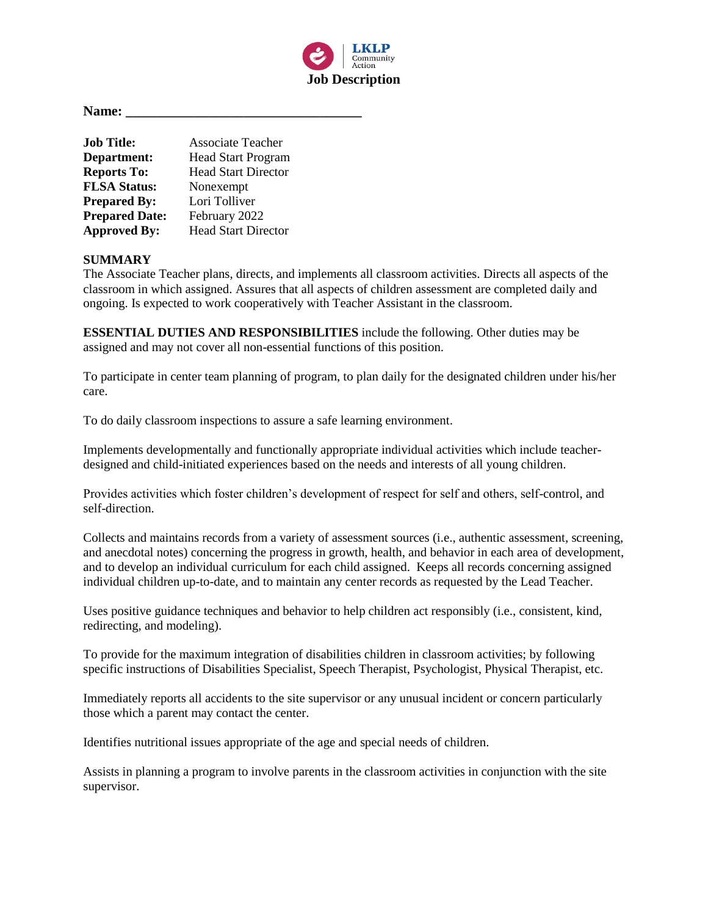

**Name: \_\_\_\_\_\_\_\_\_\_\_\_\_\_\_\_\_\_\_\_\_\_\_\_\_\_\_\_\_\_\_\_\_\_**

| <b>Job Title:</b>     | <b>Associate Teacher</b>   |
|-----------------------|----------------------------|
| Department:           | <b>Head Start Program</b>  |
| <b>Reports To:</b>    | <b>Head Start Director</b> |
| <b>FLSA Status:</b>   | Nonexempt                  |
| <b>Prepared By:</b>   | Lori Tolliver              |
| <b>Prepared Date:</b> | February 2022              |
| <b>Approved By:</b>   | <b>Head Start Director</b> |

## **SUMMARY**

The Associate Teacher plans, directs, and implements all classroom activities. Directs all aspects of the classroom in which assigned. Assures that all aspects of children assessment are completed daily and ongoing. Is expected to work cooperatively with Teacher Assistant in the classroom.

**ESSENTIAL DUTIES AND RESPONSIBILITIES** include the following. Other duties may be assigned and may not cover all non-essential functions of this position.

To participate in center team planning of program, to plan daily for the designated children under his/her care.

To do daily classroom inspections to assure a safe learning environment.

Implements developmentally and functionally appropriate individual activities which include teacherdesigned and child-initiated experiences based on the needs and interests of all young children.

Provides activities which foster children's development of respect for self and others, self-control, and self-direction.

Collects and maintains records from a variety of assessment sources (i.e., authentic assessment, screening, and anecdotal notes) concerning the progress in growth, health, and behavior in each area of development, and to develop an individual curriculum for each child assigned. Keeps all records concerning assigned individual children up-to-date, and to maintain any center records as requested by the Lead Teacher.

Uses positive guidance techniques and behavior to help children act responsibly (i.e., consistent, kind, redirecting, and modeling).

To provide for the maximum integration of disabilities children in classroom activities; by following specific instructions of Disabilities Specialist, Speech Therapist, Psychologist, Physical Therapist, etc.

Immediately reports all accidents to the site supervisor or any unusual incident or concern particularly those which a parent may contact the center.

Identifies nutritional issues appropriate of the age and special needs of children.

Assists in planning a program to involve parents in the classroom activities in conjunction with the site supervisor.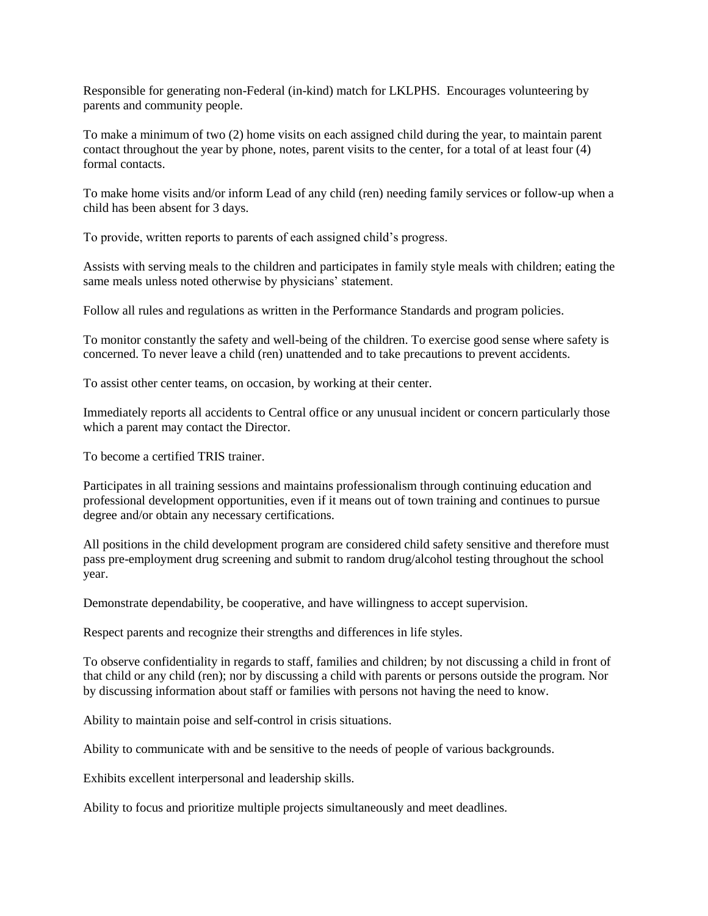Responsible for generating non-Federal (in-kind) match for LKLPHS. Encourages volunteering by parents and community people.

To make a minimum of two (2) home visits on each assigned child during the year, to maintain parent contact throughout the year by phone, notes, parent visits to the center, for a total of at least four (4) formal contacts.

To make home visits and/or inform Lead of any child (ren) needing family services or follow-up when a child has been absent for 3 days.

To provide, written reports to parents of each assigned child's progress.

Assists with serving meals to the children and participates in family style meals with children; eating the same meals unless noted otherwise by physicians' statement.

Follow all rules and regulations as written in the Performance Standards and program policies.

To monitor constantly the safety and well-being of the children. To exercise good sense where safety is concerned. To never leave a child (ren) unattended and to take precautions to prevent accidents.

To assist other center teams, on occasion, by working at their center.

Immediately reports all accidents to Central office or any unusual incident or concern particularly those which a parent may contact the Director.

To become a certified TRIS trainer.

Participates in all training sessions and maintains professionalism through continuing education and professional development opportunities, even if it means out of town training and continues to pursue degree and/or obtain any necessary certifications.

All positions in the child development program are considered child safety sensitive and therefore must pass pre-employment drug screening and submit to random drug/alcohol testing throughout the school year.

Demonstrate dependability, be cooperative, and have willingness to accept supervision.

Respect parents and recognize their strengths and differences in life styles.

To observe confidentiality in regards to staff, families and children; by not discussing a child in front of that child or any child (ren); nor by discussing a child with parents or persons outside the program. Nor by discussing information about staff or families with persons not having the need to know.

Ability to maintain poise and self-control in crisis situations.

Ability to communicate with and be sensitive to the needs of people of various backgrounds.

Exhibits excellent interpersonal and leadership skills.

Ability to focus and prioritize multiple projects simultaneously and meet deadlines.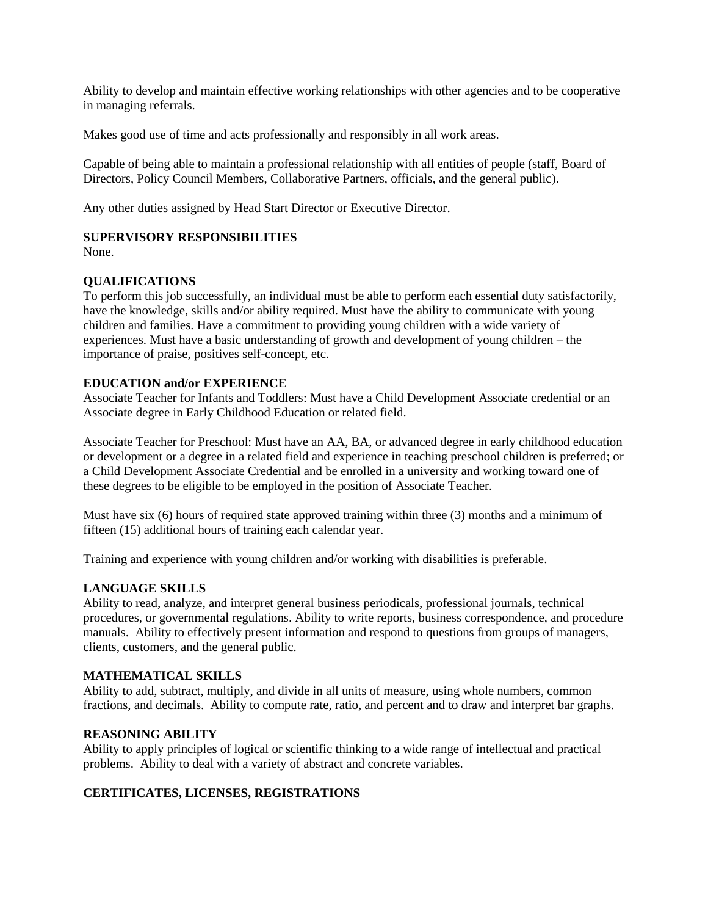Ability to develop and maintain effective working relationships with other agencies and to be cooperative in managing referrals.

Makes good use of time and acts professionally and responsibly in all work areas.

Capable of being able to maintain a professional relationship with all entities of people (staff, Board of Directors, Policy Council Members, Collaborative Partners, officials, and the general public).

Any other duties assigned by Head Start Director or Executive Director.

### **SUPERVISORY RESPONSIBILITIES**

None.

## **QUALIFICATIONS**

To perform this job successfully, an individual must be able to perform each essential duty satisfactorily, have the knowledge, skills and/or ability required. Must have the ability to communicate with young children and families. Have a commitment to providing young children with a wide variety of experiences. Must have a basic understanding of growth and development of young children – the importance of praise, positives self-concept, etc.

### **EDUCATION and/or EXPERIENCE**

Associate Teacher for Infants and Toddlers: Must have a Child Development Associate credential or an Associate degree in Early Childhood Education or related field.

Associate Teacher for Preschool: Must have an AA, BA, or advanced degree in early childhood education or development or a degree in a related field and experience in teaching preschool children is preferred; or a Child Development Associate Credential and be enrolled in a university and working toward one of these degrees to be eligible to be employed in the position of Associate Teacher.

Must have six (6) hours of required state approved training within three (3) months and a minimum of fifteen (15) additional hours of training each calendar year.

Training and experience with young children and/or working with disabilities is preferable.

## **LANGUAGE SKILLS**

Ability to read, analyze, and interpret general business periodicals, professional journals, technical procedures, or governmental regulations. Ability to write reports, business correspondence, and procedure manuals. Ability to effectively present information and respond to questions from groups of managers, clients, customers, and the general public.

### **MATHEMATICAL SKILLS**

Ability to add, subtract, multiply, and divide in all units of measure, using whole numbers, common fractions, and decimals. Ability to compute rate, ratio, and percent and to draw and interpret bar graphs.

#### **REASONING ABILITY**

Ability to apply principles of logical or scientific thinking to a wide range of intellectual and practical problems. Ability to deal with a variety of abstract and concrete variables.

## **CERTIFICATES, LICENSES, REGISTRATIONS**